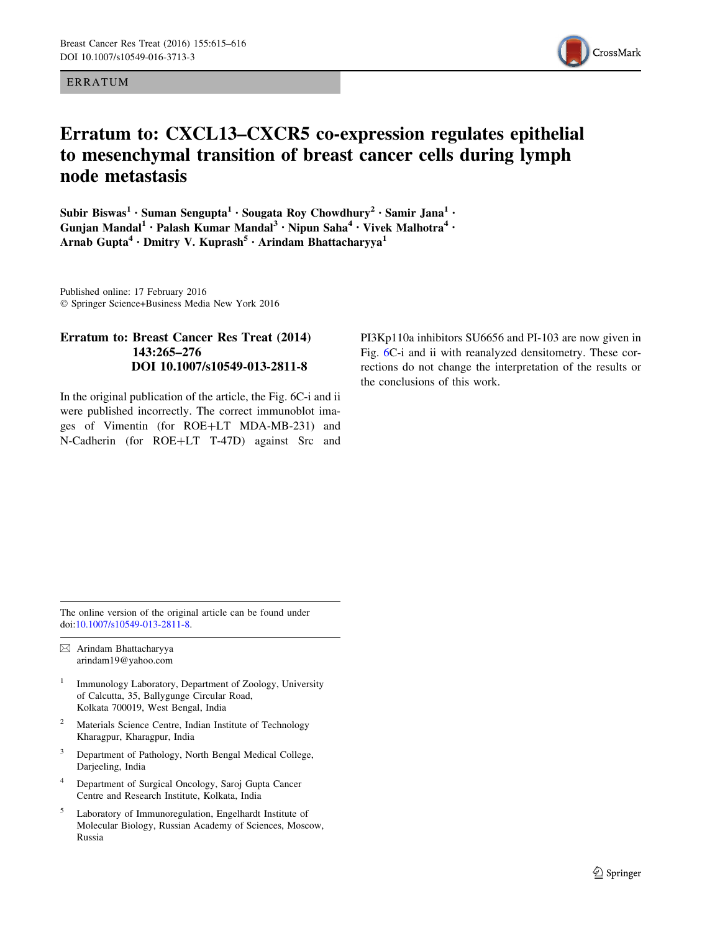## ERRATUM



## Erratum to: CXCL13–CXCR5 co-expression regulates epithelial to mesenchymal transition of breast cancer cells during lymph node metastasis

Subir Biswas<sup>1</sup> • Suman Sengupta<sup>1</sup> • Sougata Roy Chowdhury<sup>2</sup> • Samir Jana<sup>1</sup> • Gunjan Mandal<sup>1</sup> • Palash Kumar Mandal<sup>3</sup> • Nipun Saha<sup>4</sup> • Vivek Malhotra<sup>4</sup> • Arnab Gupta<sup>4</sup> · Dmitry V. Kuprash<sup>5</sup> · Arindam Bhattacharyya<sup>1</sup>

Published online: 17 February 2016 - Springer Science+Business Media New York 2016

## Erratum to: Breast Cancer Res Treat (2014) 143:265–276 DOI 10.1007/s10549-013-2811-8

In the original publication of the article, the Fig. 6C-i and ii were published incorrectly. The correct immunoblot images of Vimentin (for ROE+LT MDA-MB-231) and N-Cadherin (for ROE+LT T-47D) against Src and PI3Kp110a inhibitors SU6656 and PI-103 are now given in Fig. [6](#page-1-0)C-i and ii with reanalyzed densitometry. These corrections do not change the interpretation of the results or the conclusions of this work.

The online version of the original article can be found under doi[:10.1007/s10549-013-2811-8.](http://dx.doi.org/10.1007/s10549-013-2811-8)

 $\boxtimes$  Arindam Bhattacharyya arindam19@yahoo.com

- <sup>1</sup> Immunology Laboratory, Department of Zoology, University of Calcutta, 35, Ballygunge Circular Road, Kolkata 700019, West Bengal, India
- <sup>2</sup> Materials Science Centre, Indian Institute of Technology Kharagpur, Kharagpur, India
- <sup>3</sup> Department of Pathology, North Bengal Medical College, Darjeeling, India
- <sup>4</sup> Department of Surgical Oncology, Saroj Gupta Cancer Centre and Research Institute, Kolkata, India
- <sup>5</sup> Laboratory of Immunoregulation, Engelhardt Institute of Molecular Biology, Russian Academy of Sciences, Moscow, Russia